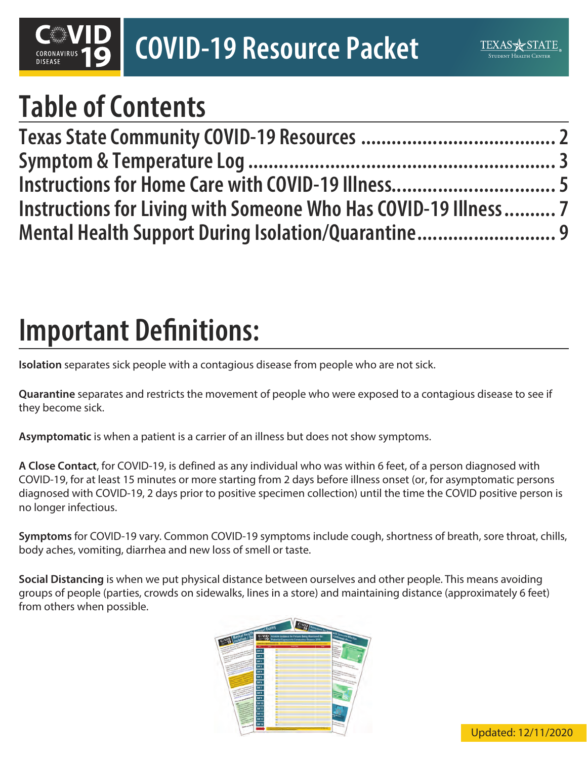# **COVID-19 Resource Packet**

## **Table of Contents**

| Instructions for Home Care with COVID-19 Illness 5              |  |
|-----------------------------------------------------------------|--|
| Instructions for Living with Someone Who Has COVID-19 Illness 7 |  |
| Mental Health Support During Isolation/Quarantine 9             |  |

## **Important Definitions:**

**Isolation** separates sick people with a contagious disease from people who are not sick.

**Quarantine** separates and restricts the movement of people who were exposed to a contagious disease to see if they become sick.

**Asymptomatic** is when a patient is a carrier of an illness but does not show symptoms.

**A Close Contact**, for COVID-19, is defined as any individual who was within 6 feet, of a person diagnosed with COVID-19, for at least 15 minutes or more starting from 2 days before illness onset (or, for asymptomatic persons diagnosed with COVID-19, 2 days prior to positive specimen collection) until the time the COVID positive person is no longer infectious.

**Symptoms** for COVID-19 vary. Common COVID-19 symptoms include cough, shortness of breath, sore throat, chills, body aches, vomiting, diarrhea and new loss of smell or taste.

**Social Distancing** is when we put physical distance between ourselves and other people. This means avoiding groups of people (parties, crowds on sidewalks, lines in a store) and maintaining distance (approximately 6 feet) from others when possible.

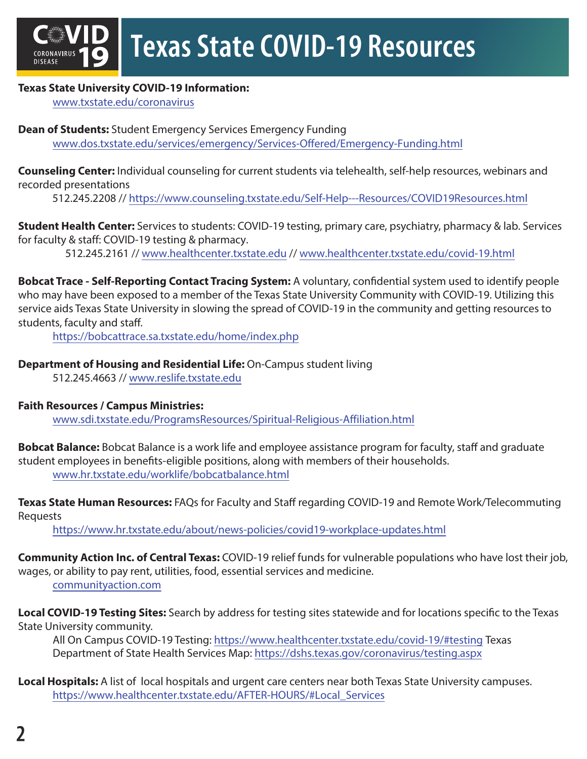

### **Texas State University COVID-19 Information:**

[www.txstate.edu/coronavirus](https://www.txstate.edu/coronavirus)

**Dean of Students:** Student Emergency Services Emergency Funding <www.dos.txstate.edu/services/emergency/Services-Offered/Emergency-Funding.html>

**Counseling Center:** Individual counseling for current students via telehealth, self-help resources, webinars and recorded presentations

512.245.2208 // <https://www.counseling.txstate.edu/Self-Help---Resources/COVID19Resources.html>

**Student Health Center:** Services to students: COVID-19 testing, primary care, psychiatry, pharmacy & lab. Services for faculty & staff: COVID-19 testing & pharmacy.

512.245.2161 /[/ www.healthcenter.txstate.edu](www.healthcenter.txstate.edu) // [www.healthcenter.txstate.edu/covid-19.html](https://www.healthcenter.txstate.edu/covid-19.html)

**Bobcat Trace - Self-Reporting Contact Tracing System:** A voluntary, confidential system used to identify people who may have been exposed to a member of the Texas State University Community with COVID-19. Utilizing this service aids Texas State University in slowing the spread of COVID-19 in the community and getting resources to students, faculty and staff.

<https://bobcattrace.sa.txstate.edu/home/index.php>

### **Department of Housing and Residential Life:** On-Campus student living

512.245.4663 // <www.reslife.txstate.edu>

#### **Faith Resources / Campus Ministries:**

<www.sdi.txstate.edu/ProgramsResources/Spiritual-Religious-Affiliation.html>

**Bobcat Balance:** Bobcat Balance is a work life and employee assistance program for faculty, staff and graduate student employees in benefits-eligible positions, along with members of their households. <www.hr.txstate.edu/worklife/bobcatbalance.html>

**Texas State Human Resources:** FAQs for Faculty and Staff regarding COVID-19 and Remote Work/Telecommuting Requests

<https://www.hr.txstate.edu/about/news-policies/covid19-workplace-updates.html>

**Community Action Inc. of Central Texas:** COVID-19 relief funds for vulnerable populations who have lost their job, wages, or ability to pay rent, utilities, food, essential services and medicine.

[communityaction.com](https://www.communityaction.com)

**Local COVID-19 Testing Sites:** Search by address for testing sites statewide and for locations specific to the Texas State University community.

All On Campus COVID-19 Testing:<https://www.healthcenter.txstate.edu/covid-19/#testing> Texas Department of State Health Services Map: <https://dshs.texas.gov/coronavirus/testing.aspx>

**Local Hospitals:** A list of local hospitals and urgent care centers near both Texas State University campuses. [https://www.healthcenter.txstate.edu/AFTER-HOURS/#Local\\_Services](https://www.healthcenter.txstate.edu/AFTER-HOURS/#Local_Services)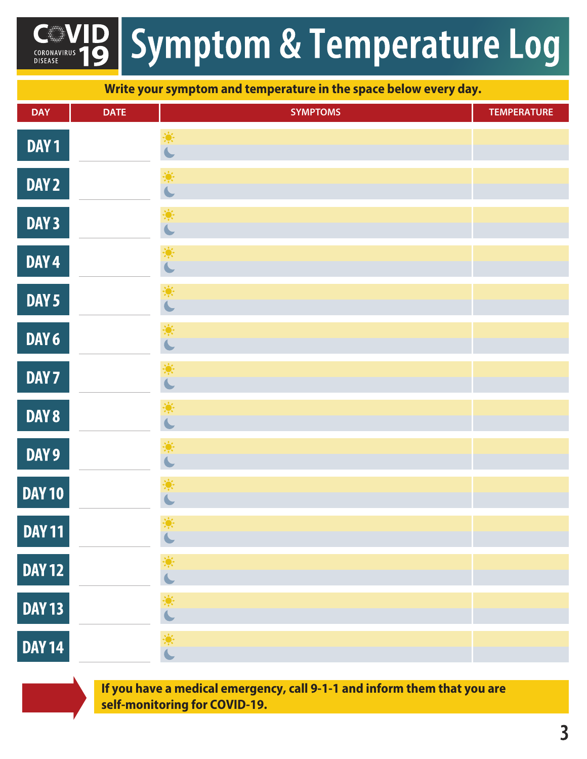### **Symptom & Temperature Log** CORONAVIRUS<br>DISEASE

**Write your symptom and temperature in the space below every day.**

| <b>DAY</b>       | <b>DATE</b> | <b>SYMPTOMS</b>              | <b>TEMPERATURE</b> |
|------------------|-------------|------------------------------|--------------------|
| DAY <sub>1</sub> |             | 美                            |                    |
| DAY <sub>2</sub> |             |                              |                    |
| DAY 3            |             | 美                            |                    |
| DAY <sub>4</sub> |             | 美                            |                    |
| DAY <sub>5</sub> |             | 美                            |                    |
| DAY 6            |             | 美                            |                    |
| DAY 7            |             |                              |                    |
| <b>DAY 8</b>     |             |                              |                    |
| DAY 9            |             | 美                            |                    |
| <b>DAY 10</b>    |             | 美                            |                    |
| <b>DAY 11</b>    |             | 豪<br>$\overline{\mathbf{C}}$ |                    |
| <b>DAY 12</b>    |             | 著                            |                    |
| <b>DAY 13</b>    |             |                              |                    |
| <b>DAY 14</b>    |             | 美                            |                    |

**If you have a medical emergency, call 9-1-1 and inform them that you are self-monitoring for COVID-19.**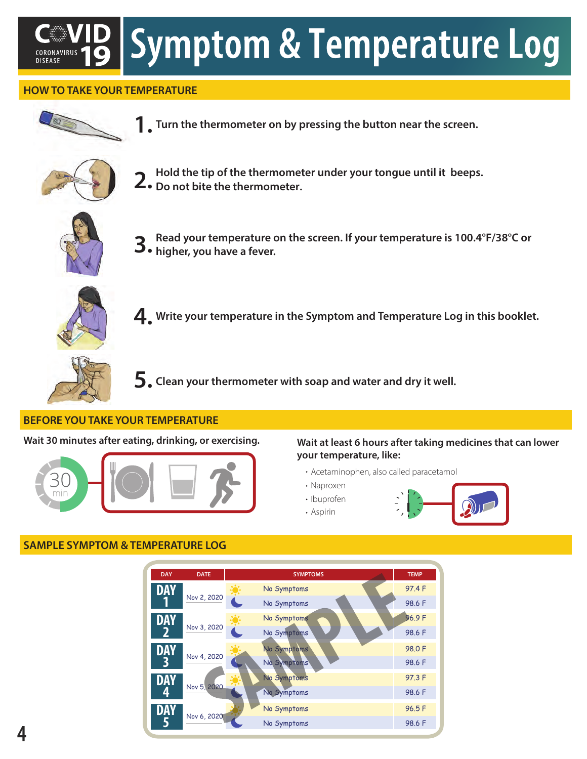# **Symptom & Temperature Log**

### **HOW TO TAKE YOUR TEMPERATURE**



**Turn the thermometer on by pressing the button near the screen. 1.**



**Hold the tip of the thermometer under your tongue until it beeps. 2.** Hold the tip of the thermometer.<br>**2.** Do not bite the thermometer.



**Read your temperature on the screen. If your temperature is 100.4°F/38°C or 3.** Read your temperature considers, you have a fever.



**Write your temperature in the Symptom and Temperature Log in this booklet. 4.**



**Clean your thermometer with soap and water and dry it well. 5.**

#### **BEFORE YOU TAKE YOUR TEMPERATURE**

**Wait 30 minutes after eating, drinking, or exercising.** 



#### **Wait at least 6 hours after taking medicines that can lower your temperature, like:**

- Acetaminophen, also called paracetamol
- Naproxen
- Ibuprofen Aspirin



### **SAMPLE SYMPTOM & TEMPERATURE LOG**

| <b>DAY</b> | <b>DATE</b> | <b>SYMPTOMS</b> | <b>TEMP</b> |
|------------|-------------|-----------------|-------------|
| <b>DAY</b> |             | No Symptoms     | 97.4 F      |
|            | Nov 2, 2020 | No Symptoms     | 98.6 F      |
| <b>DAY</b> | Nov 3, 2020 | No Symptoms     | 96.9F       |
|            |             | No Symptoms     | 98.6 F      |
| DAY        | Nov 4, 2020 | No Symptoms     | 98.0 F      |
|            |             | No Symptoms     | 98.6 F      |
| DAY        |             | No Symptoms     | 97.3 F      |
|            | Nov 5, 2020 | No Symptoms     | 98.6 F      |
| DAY        | Nov 6, 2020 | No Symptoms     | 96.5F       |
|            |             | No Symptoms     | 98.6 F      |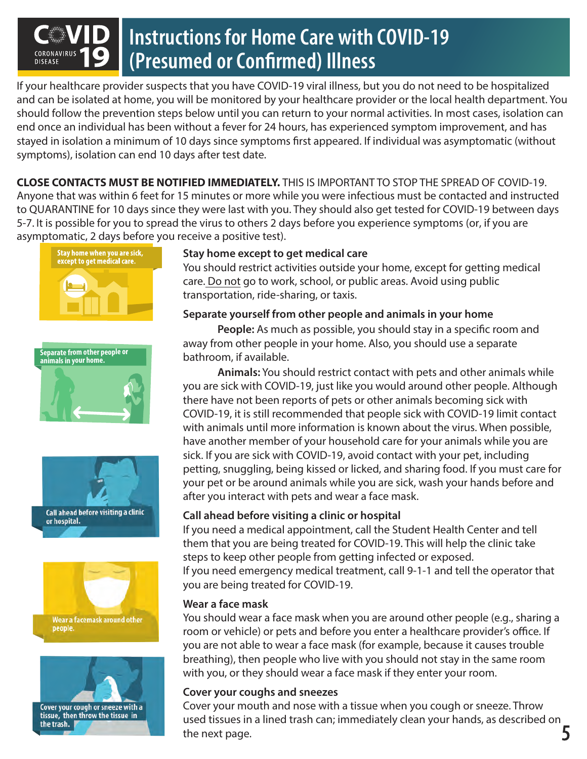### **Instructions for Home Care with COVID-19 (Presumed or Confirmed) Illness DISEASE**

If your healthcare provider suspects that you have COVID-19 viral illness, but you do not need to be hospitalized and can be isolated at home, you will be monitored by your healthcare provider or the local health department. You should follow the prevention steps below until you can return to your normal activities. In most cases, isolation can end once an individual has been without a fever for 24 hours, has experienced symptom improvement, and has stayed in isolation a minimum of 10 days since symptoms first appeared. If individual was asymptomatic (without symptoms), isolation can end 10 days after test date.

**CLOSE CONTACTS MUST BE NOTIFIED IMMEDIATELY.** THIS IS IMPORTANT TO STOP THE SPREAD OF COVID-19. Anyone that was within 6 feet for 15 minutes or more while you were infectious must be contacted and instructed to QUARANTINE for 10 days since they were last with you. They should also get tested for COVID-19 between days 5-7. It is possible for you to spread the virus to others 2 days before you experience symptoms (or, if you are asymptomatic, 2 days before you receive a positive test).











### **Stay home except to get medical care**

You should restrict activities outside your home, except for getting medical care. Do not go to work, school, or public areas. Avoid using public transportation, ride-sharing, or taxis.

### **Separate yourself from other people and animals in your home**

People: As much as possible, you should stay in a specific room and away from other people in your home. Also, you should use a separate bathroom, if available.

**Animals:** You should restrict contact with pets and other animals while you are sick with COVID-19, just like you would around other people. Although there have not been reports of pets or other animals becoming sick with COVID-19, it is still recommended that people sick with COVID-19 limit contact with animals until more information is known about the virus. When possible, have another member of your household care for your animals while you are sick. If you are sick with COVID-19, avoid contact with your pet, including petting, snuggling, being kissed or licked, and sharing food. If you must care for your pet or be around animals while you are sick, wash your hands before and after you interact with pets and wear a face mask.

### **Call ahead before visiting a clinic or hospital**

If you need a medical appointment, call the Student Health Center and tell them that you are being treated for COVID-19. This will help the clinic take steps to keep other people from getting infected or exposed. If you need emergency medical treatment, call 9-1-1 and tell the operator that you are being treated for COVID-19.

### **Wear a face mask**

You should wear a face mask when you are around other people (e.g., sharing a room or vehicle) or pets and before you enter a healthcare provider's office. If you are not able to wear a face mask (for example, because it causes trouble breathing), then people who live with you should not stay in the same room with you, or they should wear a face mask if they enter your room.

### **Cover your coughs and sneezes**

Cover your mouth and nose with a tissue when you cough or sneeze. Throw used tissues in a lined trash can; immediately clean your hands, as described on the next page.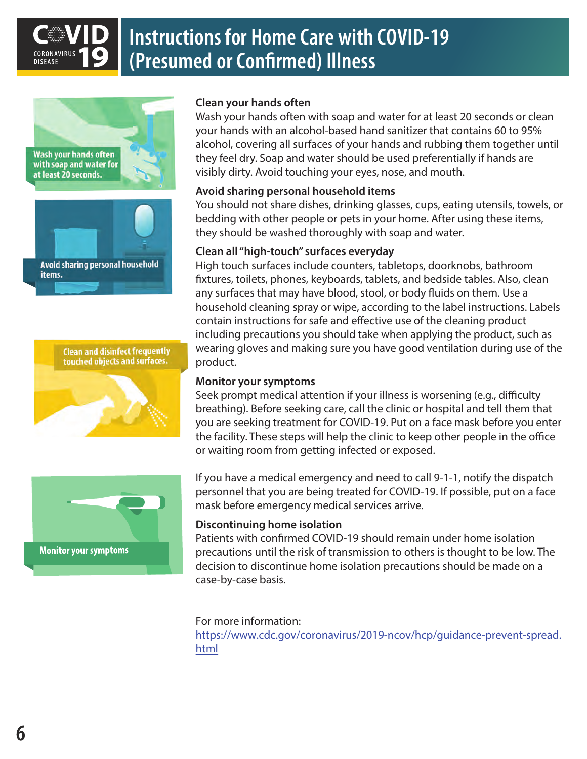

### **Instructions for Home Care with COVID-19 (Presumed or Confirmed) Illness**









### **Clean your hands often**

Wash your hands often with soap and water for at least 20 seconds or clean your hands with an alcohol-based hand sanitizer that contains 60 to 95% alcohol, covering all surfaces of your hands and rubbing them together until they feel dry. Soap and water should be used preferentially if hands are visibly dirty. Avoid touching your eyes, nose, and mouth.

### **Avoid sharing personal household items**

You should not share dishes, drinking glasses, cups, eating utensils, towels, or bedding with other people or pets in your home. After using these items, they should be washed thoroughly with soap and water.

### **Clean all "high-touch" surfaces everyday**

High touch surfaces include counters, tabletops, doorknobs, bathroom xtures, toilets, phones, keyboards, tablets, and bedside tables. Also, clean any surfaces that may have blood, stool, or body fluids on them. Use a household cleaning spray or wipe, according to the label instructions. Labels contain instructions for safe and effective use of the cleaning product including precautions you should take when applying the product, such as wearing gloves and making sure you have good ventilation during use of the product.

### **Monitor your symptoms**

Seek prompt medical attention if your illness is worsening (e.g., difficulty breathing). Before seeking care, call the clinic or hospital and tell them that you are seeking treatment for COVID-19. Put on a face mask before you enter the facility. These steps will help the clinic to keep other people in the office or waiting room from getting infected or exposed.

If you have a medical emergency and need to call 9-1-1, notify the dispatch personnel that you are being treated for COVID-19. If possible, put on a face mask before emergency medical services arrive.

### **Discontinuing home isolation**

Patients with confirmed COVID-19 should remain under home isolation precautions until the risk of transmission to others is thought to be low. The decision to discontinue home isolation precautions should be made on a case-by-case basis.

#### For more information:

[https://www.cdc.gov/coronavirus/2019-ncov/hcp/guidance-prevent-spread.](https://www.cdc.gov/coronavirus/2019-ncov/hcp/guidance-prevent-spread.html) html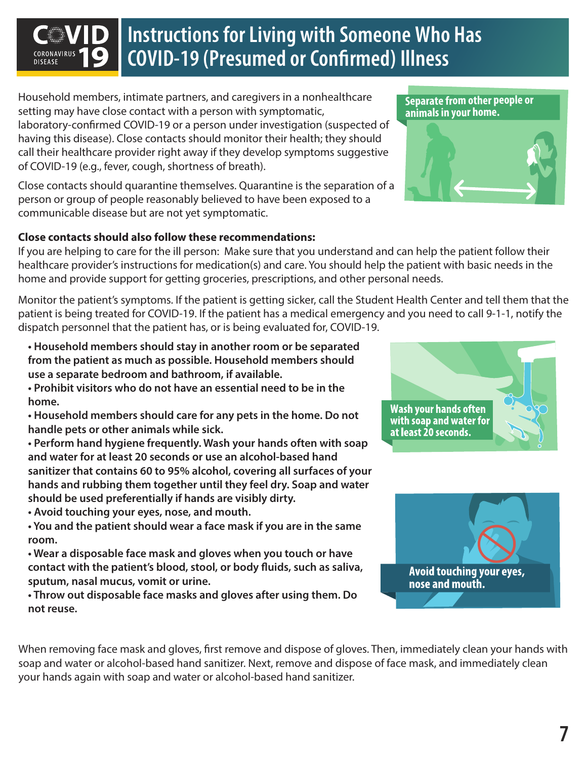### **Instructions for Living with Someone Who Has COVID-19 (Presumed or Confirmed) Illness**

Household members, intimate partners, and caregivers in a nonhealthcare setting may have close contact with a person with symptomatic,

laboratory-confirmed COVID-19 or a person under investigation (suspected of having this disease). Close contacts should monitor their health; they should call their healthcare provider right away if they develop symptoms suggestive of COVID-19 (e.g., fever, cough, shortness of breath).

Close contacts should quarantine themselves. Quarantine is the separation of a person or group of people reasonably believed to have been exposed to a communicable disease but are not yet symptomatic.

### **Close contacts should also follow these recommendations:**

If you are helping to care for the ill person: Make sure that you understand and can help the patient follow their healthcare provider's instructions for medication(s) and care. You should help the patient with basic needs in the home and provide support for getting groceries, prescriptions, and other personal needs.

Monitor the patient's symptoms. If the patient is getting sicker, call the Student Health Center and tell them that the patient is being treated for COVID-19. If the patient has a medical emergency and you need to call 9-1-1, notify the dispatch personnel that the patient has, or is being evaluated for, COVID-19.

**• Household members should stay in another room or be separated from the patient as much as possible. Household members should use a separate bedroom and bathroom, if available.**

**• Prohibit visitors who do not have an essential need to be in the home.**

**• Household members should care for any pets in the home. Do not handle pets or other animals while sick.** 

**• Perform hand hygiene frequently. Wash your hands often with soap and water for at least 20 seconds or use an alcohol-based hand sanitizer that contains 60 to 95% alcohol, covering all surfaces of your hands and rubbing them together until they feel dry. Soap and water should be used preferentially if hands are visibly dirty.**

**• Avoid touching your eyes, nose, and mouth.**

**• You and the patient should wear a face mask if you are in the same room.**

**• Wear a disposable face mask and gloves when you touch or have**  contact with the patient's blood, stool, or body fluids, such as saliva, **sputum, nasal mucus, vomit or urine.** 

**• Throw out disposable face masks and gloves after using them. Do not reuse.**







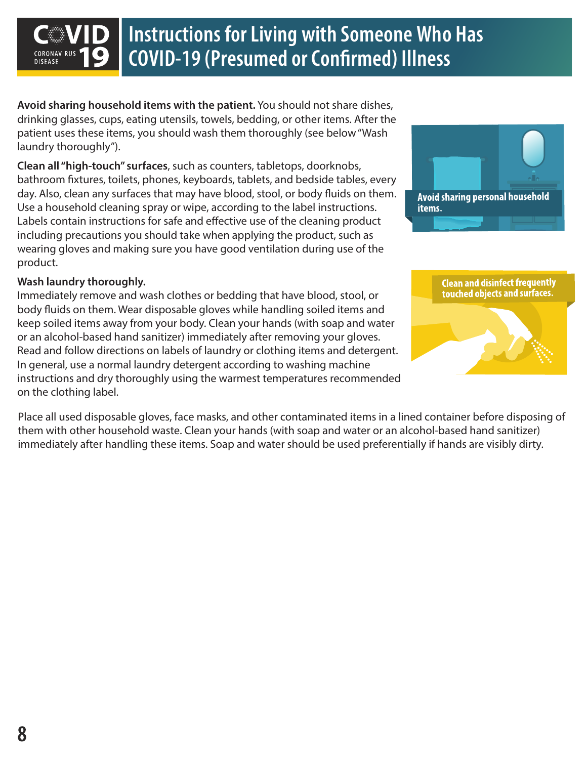### **Instructions for Living with Someone Who Has COVID-19 (Presumed or Confirmed) Illness**

**Avoid sharing household items with the patient.** You should not share dishes, drinking glasses, cups, eating utensils, towels, bedding, or other items. After the patient uses these items, you should wash them thoroughly (see below "Wash laundry thoroughly").

**Clean all "high-touch" surfaces**, such as counters, tabletops, doorknobs, bathroom fixtures, toilets, phones, keyboards, tablets, and bedside tables, every day. Also, clean any surfaces that may have blood, stool, or body fluids on them. Use a household cleaning spray or wipe, according to the label instructions. Labels contain instructions for safe and effective use of the cleaning product including precautions you should take when applying the product, such as wearing gloves and making sure you have good ventilation during use of the product.

### **Wash laundry thoroughly.**

**DISEASE** 

Immediately remove and wash clothes or bedding that have blood, stool, or body fluids on them. Wear disposable gloves while handling soiled items and keep soiled items away from your body. Clean your hands (with soap and water or an alcohol-based hand sanitizer) immediately after removing your gloves. Read and follow directions on labels of laundry or clothing items and detergent. In general, use a normal laundry detergent according to washing machine instructions and dry thoroughly using the warmest temperatures recommended on the clothing label.

Place all used disposable gloves, face masks, and other contaminated items in a lined container before disposing of them with other household waste. Clean your hands (with soap and water or an alcohol-based hand sanitizer) immediately after handling these items. Soap and water should be used preferentially if hands are visibly dirty.